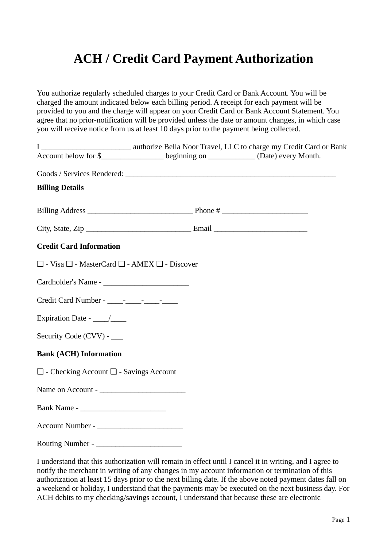## **ACH / Credit Card Payment Authorization**

You authorize regularly scheduled charges to your Credit Card or Bank Account. You will be charged the amount indicated below each billing period. A receipt for each payment will be provided to you and the charge will appear on your Credit Card or Bank Account Statement. You agree that no prior-notification will be provided unless the date or amount changes, in which case you will receive notice from us at least 10 days prior to the payment being collected.

| $\mathbf{I}$                                                      | authorize Bella Noor Travel, LLC to charge my Credit Card or Bank                            |  |
|-------------------------------------------------------------------|----------------------------------------------------------------------------------------------|--|
|                                                                   | Account below for \$_______________________ beginning on _______________ (Date) every Month. |  |
|                                                                   |                                                                                              |  |
| <b>Billing Details</b>                                            |                                                                                              |  |
|                                                                   |                                                                                              |  |
|                                                                   |                                                                                              |  |
| <b>Credit Card Information</b>                                    |                                                                                              |  |
| $\Box$ - Visa $\Box$ - MasterCard $\Box$ - AMEX $\Box$ - Discover |                                                                                              |  |
|                                                                   |                                                                                              |  |
|                                                                   |                                                                                              |  |
|                                                                   |                                                                                              |  |
| Security Code (CVV) - ____                                        |                                                                                              |  |
| <b>Bank (ACH) Information</b>                                     |                                                                                              |  |
| $\Box$ - Checking Account $\Box$ - Savings Account                |                                                                                              |  |
|                                                                   |                                                                                              |  |
|                                                                   |                                                                                              |  |
|                                                                   |                                                                                              |  |
|                                                                   |                                                                                              |  |

I understand that this authorization will remain in effect until I cancel it in writing, and I agree to notify the merchant in writing of any changes in my account information or termination of this authorization at least 15 days prior to the next billing date. If the above noted payment dates fall on a weekend or holiday, I understand that the payments may be executed on the next business day. For ACH debits to my checking/savings account, I understand that because these are electronic